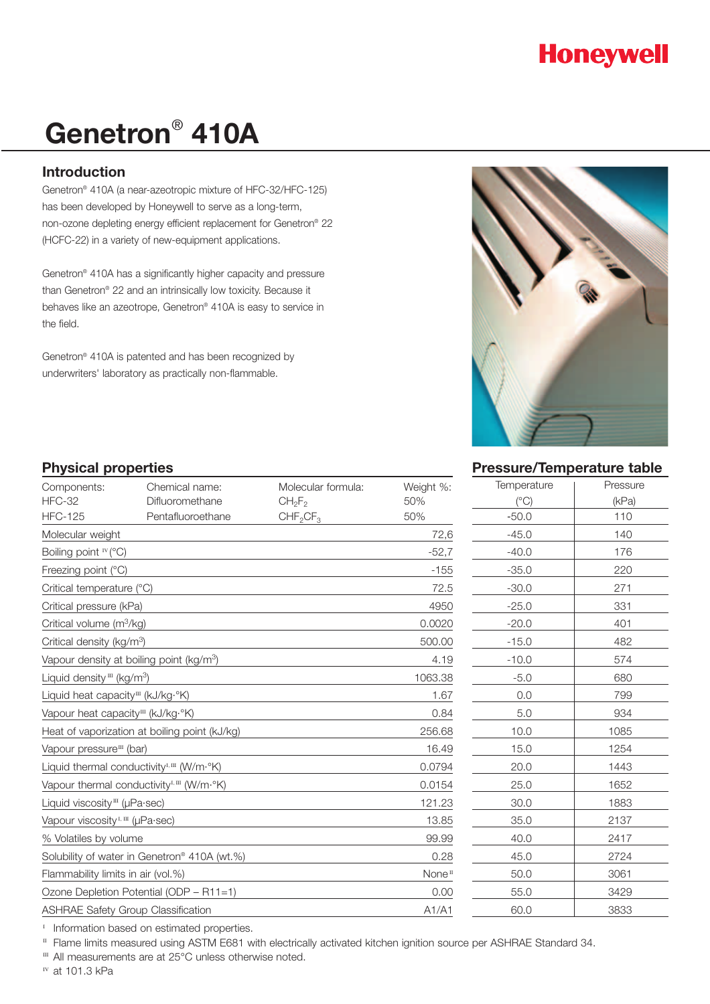## **Honeywell**

# **Genetron**® **410A**

## **Introduction**

Genetron® 410A (a near-azeotropic mixture of HFC-32/HFC-125) has been developed by Honeywell to serve as a long-term, non-ozone depleting energy efficient replacement for Genetron® 22 (HCFC-22) in a variety of new-equipment applications.

Genetron® 410A has a significantly higher capacity and pressure than Genetron® 22 and an intrinsically low toxicity. Because it behaves like an azeotrope, Genetron® 410A is easy to service in the field.

Genetron® 410A is patented and has been recognized by underwriters' laboratory as practically non-flammable.



## **Pressure/Temperature table**

| שוווטו וטוו  |          |
|--------------|----------|
| Temperature  | Pressure |
| $(^\circ C)$ | (kPa)    |
| $-50.0$      | 110      |
| $-45.0$      | 140      |
| $-40.0$      | 176      |
| $-35.0$      | 220      |
| $-30.0$      | 271      |
| $-25.0$      | 331      |
| $-20.0$      | 401      |
| $-15.0$      | 482      |
| $-10.0$      | 574      |
| $-5.0$       | 680      |
| 0.0          | 799      |
| 5.0          | 934      |
| 10.0         | 1085     |
| 15.0         | 1254     |
| 20.0         | 1443     |
| 25.0         | 1652     |
| 30.0         | 1883     |
| 35.0         | 2137     |
| 40.0         | 2417     |
| 45.0         | 2724     |
| 50.0         | 3061     |
| 55.0         | 3429     |
| 60.0         | 3833     |

## **Physical properties**

| Components:                                                    | Chemical name:                                           | Molecular formula:               | Weight %:          |
|----------------------------------------------------------------|----------------------------------------------------------|----------------------------------|--------------------|
| HFC-32                                                         | Difluoromethane                                          | $CH_2F_2$                        | 50%                |
| <b>HFC-125</b>                                                 | Pentafluoroethane                                        | CHF <sub>2</sub> CF <sub>3</sub> | 50%                |
| Molecular weight                                               |                                                          |                                  | 72,6               |
| Boiling point $W$ (°C)                                         |                                                          |                                  | $-52,7$            |
| Freezing point (°C)                                            |                                                          |                                  | $-155$             |
| Critical temperature (°C)                                      |                                                          |                                  | 72.5               |
| Critical pressure (kPa)                                        |                                                          |                                  | 4950               |
| Critical volume (m <sup>3</sup> /kg)                           |                                                          |                                  | 0.0020             |
| Critical density (kg/m <sup>3</sup> )                          |                                                          |                                  | 500.00             |
| Vapour density at boiling point (kg/m <sup>3</sup> )           |                                                          |                                  | 4.19               |
| Liquid density $m$ (kg/m <sup>3</sup> )                        |                                                          |                                  | 1063.38            |
| Liquid heat capacity <sup>III</sup> (kJ/kg $\cdot$ °K)         |                                                          |                                  | 1.67               |
| Vapour heat capacity <sup>III</sup> (kJ/kg·°K)                 |                                                          |                                  | 0.84               |
| Heat of vaporization at boiling point (kJ/kg)                  |                                                          |                                  | 256.68             |
| Vapour pressure <sup>III</sup> (bar)                           |                                                          |                                  | 16.49              |
| Liquid thermal conductivity <sup>I, III</sup> (W/m $\cdot$ °K) |                                                          |                                  | 0.0794             |
| Vapour thermal conductivity <sup>I, III</sup> (W/m·°K)         |                                                          |                                  | 0.0154             |
| Liquid viscosity <sup>III</sup> ( $\mu$ Pa·sec)                |                                                          |                                  | 121.23             |
| Vapour viscosity <sup>1, III</sup> (µPa·sec)                   |                                                          |                                  | 13.85              |
| % Volatiles by volume                                          |                                                          |                                  | 99.99              |
|                                                                | Solubility of water in Genetron <sup>®</sup> 410A (wt.%) |                                  | 0.28               |
| Flammability limits in air (vol.%)                             |                                                          |                                  | None <sup>II</sup> |
| Ozone Depletion Potential (ODP - R11=1)                        |                                                          |                                  | 0.00               |
| <b>ASHRAE Safety Group Classification</b>                      |                                                          |                                  | A1/A1              |

<sup>1</sup> Information based on estimated properties.

<sup>II</sup> Flame limits measured using ASTM E681 with electrically activated kitchen ignition source per ASHRAE Standard 34.

III All measurements are at 25°C unless otherwise noted.

<sup>IV</sup> at 101.3 kPa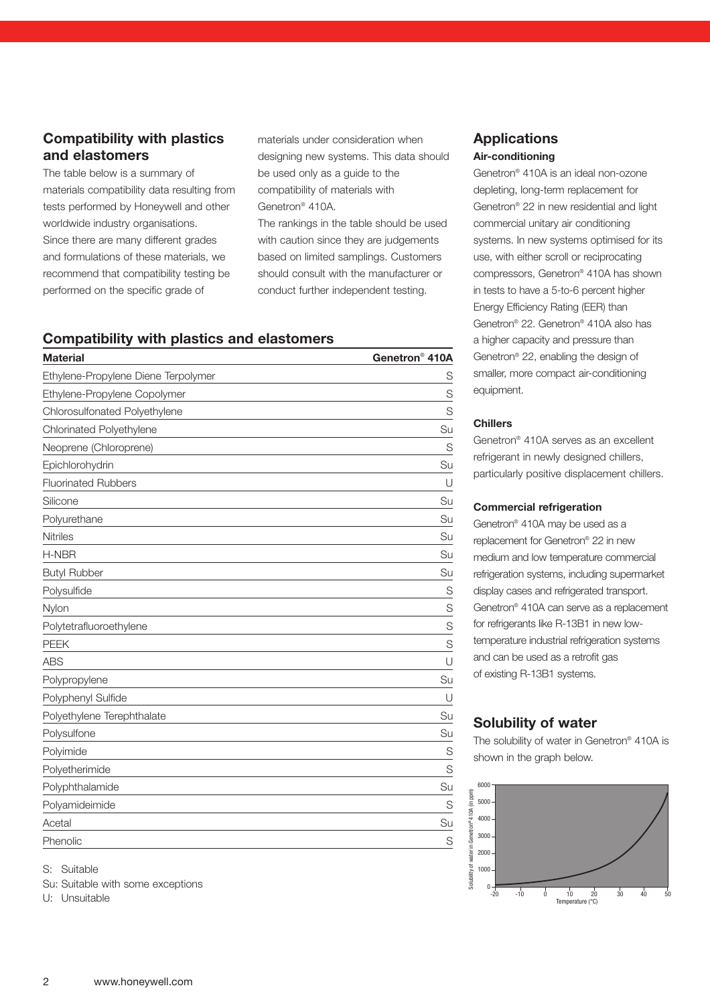## **Compatibility with plastics and elastomers**

The table below is a summary of materials compatibility data resulting from tests performed by Honeywell and other worldwide industry organisations. Since there are many different grades and formulations of these materials, we recommend that compatibility testing be performed on the specific grade of

materials under consideration when designing new systems. This data should be used only as a guide to the compatibility of materials with Genetron® 410A.

The rankings in the table should be used with caution since they are judgements based on limited samplings. Customers should consult with the manufacturer or conduct further independent testing.

## **Compatibility with plastics and elastomers**

| <b>Material</b>                     | Genetron <sup>®</sup> 410A |
|-------------------------------------|----------------------------|
| Ethylene-Propylene Diene Terpolymer | S                          |
| Ethylene-Propylene Copolymer        | S                          |
| Chlorosulfonated Polyethylene       | S                          |
| Chlorinated Polyethylene            | Su                         |
| Neoprene (Chloroprene)              | S                          |
| Epichlorohydrin                     | Su                         |
| <b>Fluorinated Rubbers</b>          | U                          |
| Silicone                            | Su                         |
| Polyurethane                        | Su                         |
| Nitriles                            | Su                         |
| H-NBR                               | Su                         |
| <b>Butyl Rubber</b>                 | Su                         |
| Polysulfide                         | S                          |
| Nylon                               | S                          |
| Polytetrafluoroethylene             | S                          |
| <b>PEEK</b>                         | S                          |
| <b>ABS</b>                          | U                          |
| Polypropylene                       | Su                         |
| Polyphenyl Sulfide                  | U                          |
| Polyethylene Terephthalate          | Su                         |
| Polysulfone                         | Su                         |
| Polyimide                           | S                          |
| Polyetherimide                      | S                          |
| Polyphthalamide                     | Su                         |
| Polyamideimide                      | S                          |
| Acetal                              | Su                         |
| Phenolic                            | S                          |

S: Suitable

Su: Suitable with some exceptions

U: Unsuitable

## **Applications Air-conditioning**

Genetron® 410A is an ideal non-ozone depleting, long-term replacement for Genetron® 22 in new residential and light commercial unitary air conditioning systems. In new systems optimised for its use, with either scroll or reciprocating compressors, Genetron® 410A has shown in tests to have a 5-to-6 percent higher Energy Efficiency Rating (EER) than Genetron® 22. Genetron® 410A also has a higher capacity and pressure than Genetron® 22, enabling the design of smaller, more compact air-conditioning equipment.

#### **Chillers**

Genetron® 410A serves as an excellent refrigerant in newly designed chillers, particularly positive displacement chillers.

#### **Commercial refrigeration**

Genetron® 410A may be used as a replacement for Genetron® 22 in new medium and low temperature commercial refrigeration systems, including supermarket display cases and refrigerated transport. Genetron® 410A can serve as a replacement for refrigerants like R-13B1 in new lowtemperature industrial refrigeration systems and can be used as a retrofit gas of existing R-13B1 systems.

## **Solubility of water**

The solubility of water in Genetron® 410A is shown in the graph below.

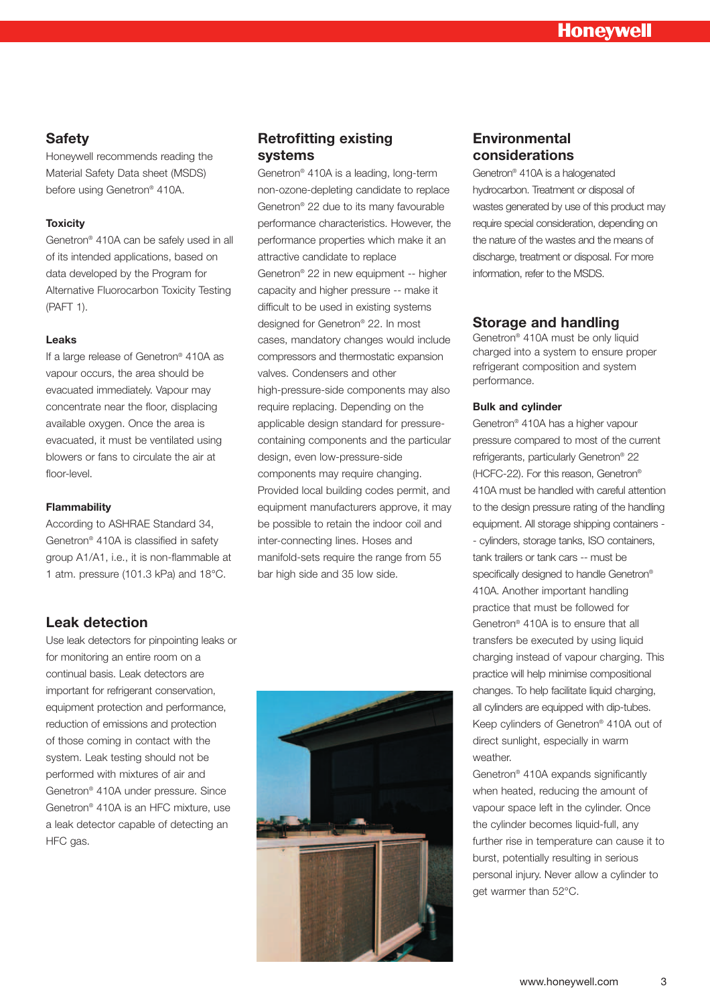## **Safety**

Honeywell recommends reading the Material Safety Data sheet (MSDS) before using Genetron® 410A.

#### **Toxicity**

Genetron® 410A can be safely used in all of its intended applications, based on data developed by the Program for Alternative Fluorocarbon Toxicity Testing (PAFT 1).

#### **Leaks**

If a large release of Genetron® 410A as vapour occurs, the area should be evacuated immediately. Vapour may concentrate near the floor, displacing available oxygen. Once the area is evacuated, it must be ventilated using blowers or fans to circulate the air at floor-level.

#### **Flammability**

According to ASHRAE Standard 34, Genetron® 410A is classified in safety group A1/A1, i.e., it is non-flammable at 1 atm. pressure (101.3 kPa) and 18°C.

## **Leak detection**

Use leak detectors for pinpointing leaks or for monitoring an entire room on a continual basis. Leak detectors are important for refrigerant conservation, equipment protection and performance, reduction of emissions and protection of those coming in contact with the system. Leak testing should not be performed with mixtures of air and Genetron® 410A under pressure. Since Genetron® 410A is an HFC mixture, use a leak detector capable of detecting an HFC gas.

## **Retrofitting existing systems**

Genetron® 410A is a leading, long-term non-ozone-depleting candidate to replace Genetron® 22 due to its many favourable performance characteristics. However, the performance properties which make it an attractive candidate to replace Genetron® 22 in new equipment -- higher capacity and higher pressure -- make it difficult to be used in existing systems designed for Genetron® 22. In most cases, mandatory changes would include compressors and thermostatic expansion valves. Condensers and other high-pressure-side components may also require replacing. Depending on the applicable design standard for pressurecontaining components and the particular design, even low-pressure-side components may require changing. Provided local building codes permit, and equipment manufacturers approve, it may be possible to retain the indoor coil and inter-connecting lines. Hoses and manifold-sets require the range from 55 bar high side and 35 low side.



## **Environmental considerations**

Genetron® 410A is a halogenated hydrocarbon. Treatment or disposal of wastes generated by use of this product may require special consideration, depending on the nature of the wastes and the means of discharge, treatment or disposal. For more information, refer to the MSDS.

## **Storage and handling**

Genetron® 410A must be only liquid charged into a system to ensure proper refrigerant composition and system performance.

#### **Bulk and cylinder**

Genetron® 410A has a higher vapour pressure compared to most of the current refrigerants, particularly Genetron® 22 (HCFC-22). For this reason, Genetron® 410A must be handled with careful attention to the design pressure rating of the handling equipment. All storage shipping containers - - cylinders, storage tanks, ISO containers, tank trailers or tank cars -- must be specifically designed to handle Genetron® 410A. Another important handling practice that must be followed for Genetron® 410A is to ensure that all transfers be executed by using liquid charging instead of vapour charging. This practice will help minimise compositional changes. To help facilitate liquid charging, all cylinders are equipped with dip-tubes. Keep cylinders of Genetron® 410A out of direct sunlight, especially in warm weather.

Genetron® 410A expands significantly when heated, reducing the amount of vapour space left in the cylinder. Once the cylinder becomes liquid-full, any further rise in temperature can cause it to burst, potentially resulting in serious personal injury. Never allow a cylinder to get warmer than 52°C.